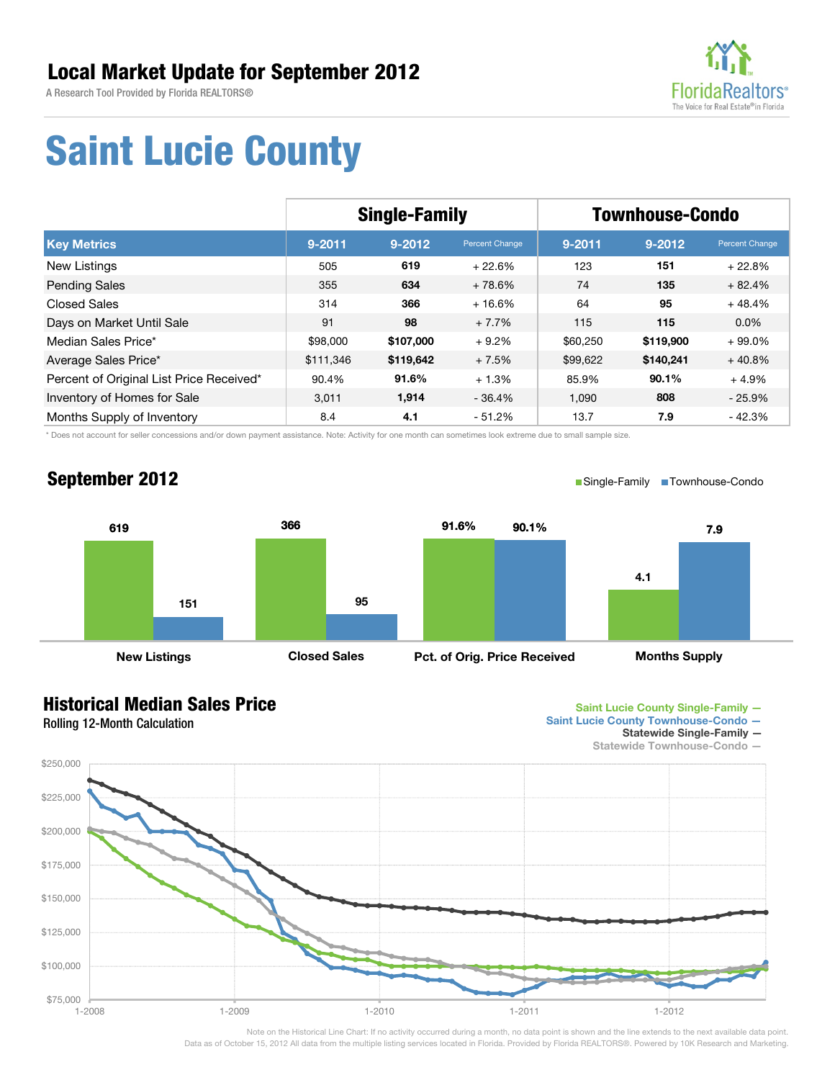A Research Tool Provided by Florida REALTORS®



## **Saint Lucie County**

|                                          | <b>Single-Family</b> |            |                | <b>Townhouse-Condo</b> |            |                |
|------------------------------------------|----------------------|------------|----------------|------------------------|------------|----------------|
| <b>Key Metrics</b>                       | $9 - 2011$           | $9 - 2012$ | Percent Change | $9 - 2011$             | $9 - 2012$ | Percent Change |
| New Listings                             | 505                  | 619        | $+22.6%$       | 123                    | 151        | $+22.8%$       |
| <b>Pending Sales</b>                     | 355                  | 634        | $+78.6%$       | 74                     | 135        | $+82.4%$       |
| <b>Closed Sales</b>                      | 314                  | 366        | $+16.6%$       | 64                     | 95         | $+48.4%$       |
| Days on Market Until Sale                | 91                   | 98         | $+7.7%$        | 115                    | 115        | $0.0\%$        |
| Median Sales Price*                      | \$98,000             | \$107,000  | $+9.2%$        | \$60,250               | \$119,900  | $+99.0\%$      |
| Average Sales Price*                     | \$111,346            | \$119,642  | $+7.5%$        | \$99,622               | \$140,241  | $+40.8%$       |
| Percent of Original List Price Received* | 90.4%                | 91.6%      | $+1.3%$        | 85.9%                  | 90.1%      | $+4.9%$        |
| Inventory of Homes for Sale              | 3,011                | 1,914      | $-36.4%$       | 1,090                  | 808        | $-25.9%$       |
| Months Supply of Inventory               | 8.4                  | 4.1        | $-51.2%$       | 13.7                   | 7.9        | - 42.3%        |

\* Does not account for seller concessions and/or down payment assistance. Note: Activity for one month can sometimes look extreme due to small sample size.

### **September 2012**

■Single-Family ■Townhouse-Condo



#### **Historical Median Sales Price**

Rolling 12-Month Calculation



- **Saint Lucie County Townhouse-Condo** 
	- **Statewide Single-Family**



Note on the Historical Line Chart: If no activity occurred during a month, no data point is shown and the line extends to the next available data point. Data as of October 15, 2012 All data from the multiple listing services located in Florida. Provided by Florida REALTORS®. Powered by 10K Research and Marketing.